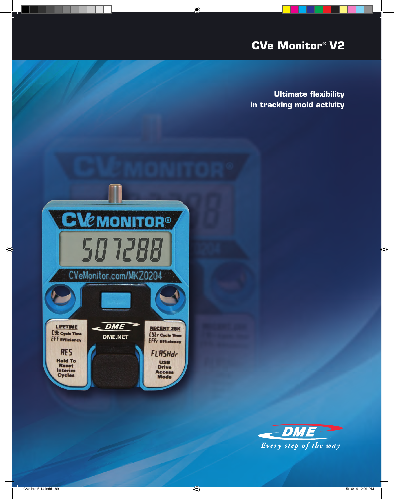# **CVe Monitor® V2**

**Ultimate flexibility in tracking mold activity**



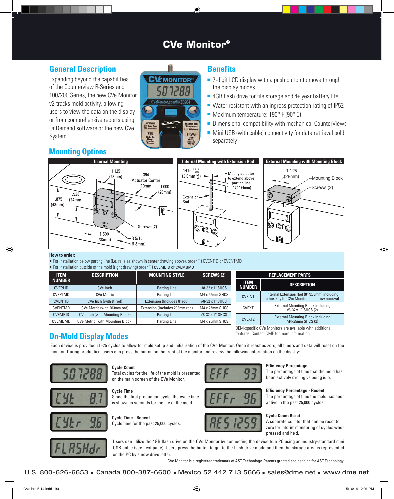## **CVe Monitor®**

## **General Description**

Expanding beyond the capabilities of the Counterview R-Series and 100/200 Series, the new CVe Monitor v2 tracks mold activity, allowing users to view the data on the display or from comprehensive reports using OnDemand software or the new CVe System.



### **Benefits**

- $\blacksquare$  7-digit LCD display with a push button to move through the display modes
- $\blacksquare$  4GB flash drive for file storage and 4+ year battery life
- $\blacksquare$  Water resistant with an ingress protection rating of IP52
- $\blacksquare$  Maximum temperature: 190 $\degree$  F (90 $\degree$  C)
- $\blacksquare$  Dimensional compatibility with mechanical CounterViews
- $\blacksquare$  Mini USB (with cable) connectivity for data retrieval sold separately



#### **How to order:**

• For installation below parting line (i.e. rails as shown in center drawing above), order (1) CVENTID or CVENTMD • For installation outside of the mold (right drawing) order (1) CVEMBID or CVEMBMD

| TOI MOGMORION OUGHUO OI GIO MOIU (HYMC GIUVANIQ) OIUOI (T) OVERIDID OI OVERIDIND |                                         |                                |                   |                          |                                                                 |  |  |  |  |  |  |
|----------------------------------------------------------------------------------|-----------------------------------------|--------------------------------|-------------------|--------------------------|-----------------------------------------------------------------|--|--|--|--|--|--|
| <b>ITEM</b>                                                                      | <b>DESCRIPTION</b>                      | <b>MOUNTING STYLE</b>          | <b>SCREWS (2)</b> | <b>REPLACEMENT PARTS</b> |                                                                 |  |  |  |  |  |  |
| <b>NUMBER</b>                                                                    |                                         |                                |                   | <b>ITEM</b>              | <b>DESCRIPTION</b>                                              |  |  |  |  |  |  |
| <b>CVEPLID</b>                                                                   | CVe Inch                                | Parting Line                   | #8-32 x 1" SHCS   | <b>NUMBER</b>            |                                                                 |  |  |  |  |  |  |
| CVEPLMD                                                                          | <b>CVe Metric</b>                       | Parting Line                   | M4 x 25mm SHCS    | <b>CVEINT</b>            | Internal Extension Rod (8"/203mm) including                     |  |  |  |  |  |  |
| <b>CVENTID</b>                                                                   | CVe Inch (with 8"rod)                   | Extension (Includes 8" rod)    | #8-32 x 1" SHCS   |                          | a hex key for CVe Monitor set screw removal                     |  |  |  |  |  |  |
| CVENTMD                                                                          | CVe Metric (with 203mm rod)             | Extension (Includes 203mm rod) | M4 x 25mm SHCS    | <b>CVEXT</b>             | <b>External Mounting Block including</b><br>#8-32 x 1" SHCS (2) |  |  |  |  |  |  |
| <b>CVEMBID</b>                                                                   | <b>CVe Inch (with Mounting Block)</b>   | <b>Parting Line</b>            | #8-32 x 1" SHCS   |                          | <b>External Mounting Block including</b>                        |  |  |  |  |  |  |
| CVEMBMD                                                                          | <b>CVe Metric (with Mounting Block)</b> | Parting Line                   | M4 x 25mm SHCS    | CVEXT2                   | $M4x25mm$ SHCS $(2)$                                            |  |  |  |  |  |  |

## **On-Mold Display Modes**

Each device is provided at -25 cycles to allow for mold setup and initialization of the CVe Monitor. Once it reaches zero, all timers and data will reset on the monitor. During production, users can press the button on the front of the monitor and review the following information on the display:



#### **Cycle Count**

Total cycles for the life of the mold is presented on the main screen of the CVe Monitor.



#### **Cycle Time** Since the first production cycle, the cycle time is shown in seconds for the life of the mold.









#### **Efficiency Percentage**

OEM-specific CVe Monitors are available with additional

features. Contact DME for more information.

The percentage of time that the mold has been actively cycling vs being idle.

#### **Efficiency Percentage - Recent**

The percentage of time the mold has been active in the past 25,000 cycles.

#### **Cycle Count Reset**

A separate counter that can be reset to zero for interim monitoring of cycles when pressed and held.



Users can utilize the 4GB flash drive on the CVe Monitor by connecting the device to a PC using an industry-standard mini USB cable (see next page). Users press the button to get to the flash drive mode and then the storage area is represented on the PC by a new drive letter.

CVe Monitor is a registered trademark of AST Technology. Patents granted and pending for AST Technology.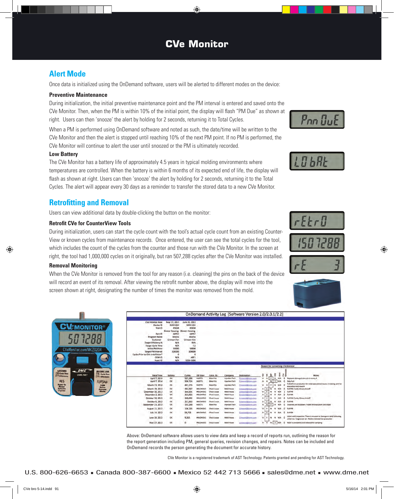## **Alert Mode**

Once data is initialized using the OnDemand software, users will be alerted to different modes on the device:

#### **Preventive Maintenance**

During initialization, the initial preventive maintenance point and the PM interval is entered and saved onto the CVe Monitor. Then, when the PM is within 10% of the initial point, the display will flash "PM Due" as shown at right. Users can then 'snooze' the alert by holding for 2 seconds, returning it to Total Cycles.

When a PM is performed using OnDemand software and noted as such, the date/time will be written to the CVe Monitor and then the alert is stopped until reaching 10% of the next PM point. If no PM is performed, the CVe Monitor will continue to alert the user until snoozed or the PM is ultimately recorded.

#### **Low Battery**

The CVe Monitor has a battery life of approximately 4.5 years in typical molding environments where temperatures are controlled. When the battery is within 6 months of its expected end of life, the display will flash as shown at right. Users can then 'snooze' the alert by holding for 2 seconds, returning it to the Total Cycles. The alert will appear every 30 days as a reminder to transfer the stored data to a new CVe Monitor.

## **Retrofitting and Removal**

Users can view additional data by double-clicking the button on the monitor:

#### **Retrofit CVe for CounterView Tools**

During initialization, users can start the cycle count with the tool's actual cycle count from an existing Counter-View or known cycles from maintenance records. Once entered, the user can see the total cycles for the tool, which includes the count of the cycles from the counter and those run with the CVe Monitor. In the screen at right, the tool had 1,000,000 cycles on it originally, but ran 507,288 cycles after the CVe Monitor was installed.

#### **Removal Monitoring**

When the CVe Monitor is removed from the tool for any reason (i.e. cleaning) the pins on the back of the device will record an event of its removal. After viewing the retrofit number above, the display will move into the screen shown at right, designating the number of times the monitor was removed from the mold.

May 27, 2013

IOK

|                                        |                       |                       |                 |                     |                       | OnDemand Activity Log [Software Version 2.0/2.0.1/2.2] |    |                    |              |        |                                  |          |                          |
|----------------------------------------|-----------------------|-----------------------|-----------------|---------------------|-----------------------|--------------------------------------------------------|----|--------------------|--------------|--------|----------------------------------|----------|--------------------------|
|                                        |                       |                       |                 |                     |                       |                                                        |    |                    |              |        |                                  |          |                          |
| CVe Initialize Date                    | May 27, 2013          | June 20, 2013         |                 |                     |                       |                                                        |    |                    |              |        |                                  |          |                          |
| Device ID                              | MKX1234               | MKX1234               |                 |                     |                       |                                                        |    |                    |              |        |                                  |          |                          |
| Tool ID                                | 85658                 | <b><i>RS65B</i></b>   |                 |                     |                       |                                                        |    |                    |              |        |                                  |          |                          |
|                                        | <b>Biower Housing</b> | <b>Blower Housing</b> |                 |                     |                       |                                                        |    |                    |              |        |                                  |          |                          |
| Part ID                                | ABTS7                 | ABTS7                 |                 |                     |                       |                                                        |    |                    |              |        |                                  |          |                          |
| <b>Program Name</b>                    | Mocha                 | Mocha                 |                 |                     |                       |                                                        |    |                    |              |        |                                  |          |                          |
| Customer<br><b>Target Efficiency %</b> | Crimson Fan           | Crimson Fan<br>94%    |                 |                     |                       |                                                        |    |                    |              |        |                                  |          |                          |
| <b>Target Cycle Time</b>               | N/A<br>N/A            | 7.5                   |                 |                     |                       |                                                        |    |                    |              |        |                                  |          |                          |
| Initial PM Point                       | 50000                 | 50000                 |                 |                     |                       |                                                        |    |                    |              |        |                                  |          |                          |
| <b>Target PM Interval</b>              | 100000                | 100000                |                 |                     |                       |                                                        |    |                    |              |        |                                  |          |                          |
| Cycles Prior to CVe Installation*      | $\Omega$              |                       | $\Omega$        |                     |                       |                                                        |    |                    |              |        |                                  |          |                          |
| OEM ID                                 | N/A                   | ABT1                  |                 |                     |                       |                                                        |    |                    |              |        |                                  |          |                          |
| Asset ID                               | N/A                   | 0356-5686             |                 |                     |                       |                                                        |    |                    |              |        |                                  |          |                          |
|                                        |                       |                       |                 |                     |                       |                                                        |    |                    |              |        |                                  |          |                          |
|                                        |                       |                       |                 |                     |                       |                                                        |    |                    |              |        | Reason for connecting CVe Monito |          |                          |
|                                        |                       |                       |                 |                     |                       |                                                        |    |                    |              |        |                                  |          |                          |
|                                        |                       |                       |                 |                     |                       |                                                        |    |                    |              |        |                                  |          |                          |
| Date/Time                              | Battery               | Cycles                | OD Liser        | Conn. By            | Company               | Destination                                            | ₫  | Ξ                  | ъ            |        |                                  |          |                          |
| April 7, 2014                          | oc                    | 507,288               | MUECTI1         | <b>Blake Fits</b>   | Injection Tech        | Despedificant con                                      | w  | N                  | ÎΥ           | 욡<br>N | š<br>書<br>N/A                    | o        | Replace                  |
| April 7, 2014                          | <b>OK</b>             | 506,524               | INJECTI1        | <b>Blake Fitz</b>   | <b>Injection Tech</b> | Crimson(b@drmin.com)                                   | ٠  |                    | $\mathbf{r}$ | ÷      |                                  | ō        | Data Pu                  |
|                                        |                       |                       |                 |                     |                       |                                                        |    |                    |              |        |                                  |          | Pulled 6                 |
| March 23, 2014                         | DK.                   | 491,274               | WJECTH.         | <b>Blake Fits</b>   | <b>Inlection Tech</b> | Chrossin@Micromy.com                                   | N  |                    |              |        |                                  | $\Omega$ | evaluati                 |
| March 19, 2014                         | OK                    | 482,567               | MOLDHOUT        | <b>Chuck Louise</b> | Mold Rouse            | <b>Crimitan@Pannis.com</b>                             | ×  | $\ast$             |              |        |                                  |          | Full PM                  |
| December 30, 2013                      | pr.                   | 364,001               | MOLDHOU'S       | <b>Oluck Louse</b>  | Mold House            | <b>Crenson/Lillermin.com</b>                           | w  | ¥                  |              |        |                                  |          | <b>Full PM</b>           |
| December 2, 2013                       | <b>DK</b>             | 314,856               | <b>MOLDHOUT</b> | <b>Cludi Louie</b>  | <b>Mold Rouse</b>     | Denisel Com len                                        | n  | ٠                  |              |        |                                  |          | Full PM                  |
| October 30, 2013                       | OK                    | 260,002               | MOLDHOUT        | <b>Chuck Louse</b>  | Mold House            | Compa Gill (con Zon                                    | 闹  | ×                  |              |        |                                  | ٥        | Full PM                  |
| October 6, 2013                        | OK                    | 211,563               | MOLDHOUS        | <b>Cluck Loose</b>  | Mold House            | Crimson Micromagn                                      | N  | N                  |              |        |                                  |          | <b>Full PM</b>           |
| September 23, 2013                     | OK                    | 193,268               | <b>WACTI</b>    | <b>Blake Fitz</b>   | <b>Injection Tech</b> | <b>Crimson District Com</b>                            | ×. | $\boldsymbol{\pi}$ | ×            |        |                                  |          | 3 cavitis                |
| August 11, 2013                        | OK.                   | 106,235               | <b>MOLDHOUT</b> | <b>Chuck Louse</b>  | Mold House            | <b>Crimson@Scimin coin</b>                             | w  | ۰                  |              |        |                                  |          | <b>Full PM</b>           |
| July 14, 2013                          | <b>DK</b>             | 58,725                | <b>MOLDHOUT</b> | Cluck Louse         | <b>Mold House</b>     | <b>Chingshill Bitmin com</b>                           | 胍  | ۰                  |              |        |                                  |          | Full PM                  |
| June 20, 2013                          | <b>DK</b>             | 9,265                 | MOLDHOU1        | <b>Chuck Louse</b>  | Mold House            | <b>Chimson Different r colm</b>                        | w  | ٠                  |              |        |                                  | ۰        | initial re<br>initial rs |

 $0.1$ 

Above: OnDemand software allows users to view data and keep a record of reports run, outlining the reason for the report generation including PM, general queries, revision changes, and repairs. Notes can be included and OnDemand records the person generating the document for accurate history.

**Mold House** 

CVe Monitor is a registered trademark of AST Technology. Patents granted and pending for AST Technology.

 $\begin{array}{c|c} \ast & \ast \\ \ast & \ast \end{array}$ 









Full PN Full PM Full PM: C Full PM<br>3 cavit D NEPN 0 saw

 $N$   $\overline{1}$   $N/R$   $\overline{0}$  Modition

MOLDHOUT Chuck Louse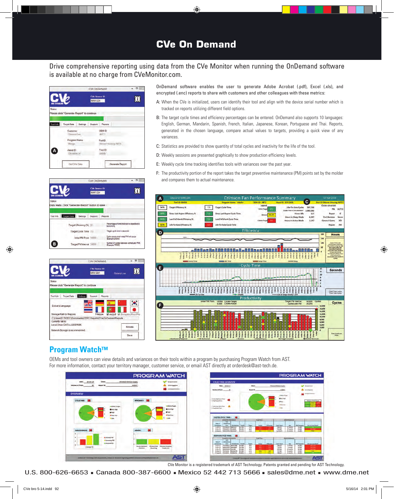## **CVe On Demand**

### Drive comprehensive reporting using data from the CVe Monitor when running the OnDemand software is available at no charge from CVeMonitor.com.







**Program Watch™**

OnDemand software enables the user to generate Adobe Acrobat (.pdf), Excel (.xls), and encrypted (.enc) reports to share with customers and other colleagues with these metrics:

- A: When the CVe is initialized, users can identify their tool and align with the device serial number which is tracked on reports utilizing different field options.
- B: The target cycle times and efficiency percentages can be entered. OnDemand also supports 10 languages: English, German, Mandarin, Spanish, French, Italian, Japanese, Korean, Portuguese and Thai. Reports, generated in the chosen language, compare actual values to targets, providing a quick view of any variances.
- C: Statistics are provided to show quantity of total cycles and inactivity for the life of the tool.
- D: Weekly sessions are presented graphically to show production efficiency levels.
- E: Weekly cycle time tracking identifies tools with variances over the past year.
- F: The productivity portion of the report takes the target preventive maintenance (PM) points set by the molder and compares them to actual maintenance.



OEMs and tool owners can view details and variances on their tools within a program by purchasing Program Watch from AST. For more information, contact your territory manager, customer service, or email AST directly at orderdesk@ast-tech.de.

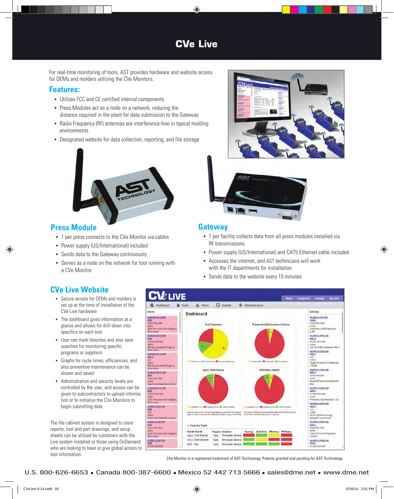## **CVe Live**

For real-time monitoring of tools, AST provides hardware and website access for OEMs and molders utilizing the CVe Monitors.

### **Features:**

- • Utilizes FCC and CE certified internal components
- Press Modules act as a node on a network, reducing the distance required in the plant for data submission to the Gateway
- Radio Frequency (RF) antennas are interference-free in typical molding environments
- Designated website for data collection, reporting, and file storage



## **Press Module**

- 1 per press connects to the CVe Monitor via cables
- Power supply (US/International) included
- Sends data to the Gateway continuously
- Serves as a node on the network for tool running with a CVe Monitor





### **Gateway**

- 1 per facility collects data from all press modules installed via RF transmissions
- Power supply (US/International) and CAT5 Ethernet cable included
- • Accesses the internet, and AST technicians will work with the IT departments for installation
- Sends data to the website every 15 minutes

## **CVe Live Website**

- Secure access for OEMs and molders is set up at the time of installation of the CVe Live hardware
- The dashboard gives information at a glance and allows for drill down into specifics on each tool
- • User can mark favorites and also save searches for monitoring specific programs or suppliers
- • Graphs for cycle times, efficiencies, and also preventive maintenance can be shown and saved
- • Administration and security levels are controlled by the user, and access can be given to subcontractors to upload information or to initialize the CVe Monitors to begin submitting data

The file cabinet system is designed to store reports, tool and part drawings, and setup sheets can be utilized by customers with the Live system installed or those using OnDemand who are looking to have or give global access to tool information.

# **LIVE**



CVe Monitor is a registered trademark of AST Technology. Patents granted and pending for AST Technology.